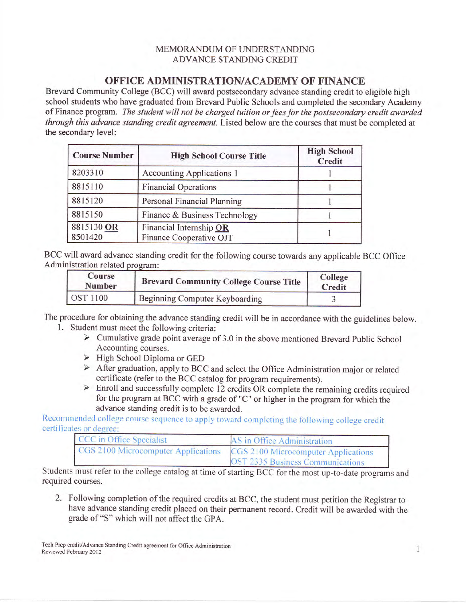## MEMORANDUM OF UNDERSTANDING ADVANCE STANDING CREDIT

## OFFICE ADMINISTRATION/ACADEMY OF FINANCE

Brevard Community College (BCC) will award postsecondary advance standing credit to eligible high school students who have graduated from Brevard Public Schools and completed the secondary Academy of Finance program. The student will not be charged tuition or fees for the postsecondary credit awarded through this advance standing credit agreement. Listed below are the courses that must be completed at the secondary level:

| <b>Course Number</b>  | <b>High School Course Title</b>                    | <b>High School</b><br>Credit |
|-----------------------|----------------------------------------------------|------------------------------|
| 8203310               | <b>Accounting Applications 1</b>                   |                              |
| 8815110               | <b>Financial Operations</b>                        |                              |
| 8815120               | Personal Financial Planning                        |                              |
| 8815150               | Finance & Business Technology                      |                              |
| 8815130 OR<br>8501420 | Financial Internship OR<br>Finance Cooperative OJT |                              |

BCC will award advance standing credit for the following course towards any applicable BCC Office Administration related program:

| Course<br><b>Number</b> | <b>Brevard Community College Course Title</b> | College<br>Credit |
|-------------------------|-----------------------------------------------|-------------------|
| <b>OST 1100</b>         | Beginning Computer Keyboarding                |                   |

The procedure for obtaining the advance standing credit will be in accordance with the guidelines below. 1. Student must meet the following criteria:<br>  $\triangleright$  Cumulative grade point average of 3.0 in the above mentioned Brevard Public School

- Accounting courses.<br>
> High School Diploma or GED
- 
- After graduation, apply to BCC and select the Office Administration major or related<br>certificate (refer to the BCC catalog for program requirements).<br>> Enroll and successfully complete 12 credits OR complete the remaining
- for the program at BCC with a grade of "C" or higher in the program for which the advance standing credit is to be awarded.

Recommended college course sequence to apply toward completing the following college credit certificates or degree:

| CCC in Office Specialist            | AS in Office Administration                                                    |
|-------------------------------------|--------------------------------------------------------------------------------|
| CGS 2100 Microcomputer Applications | CGS 2100 Microcomputer Applications<br><b>OST 2335 Business Communications</b> |

Students must refer to the college catalog at time of starting BCC for the most up-to-date programs and required courses.

2. Following completion of the required credits at BCC, the student must petition the Registrar to have advance standing credit placed on their permanent record. Credit will be awarded with the grade of "S" which will not affect the GPA.